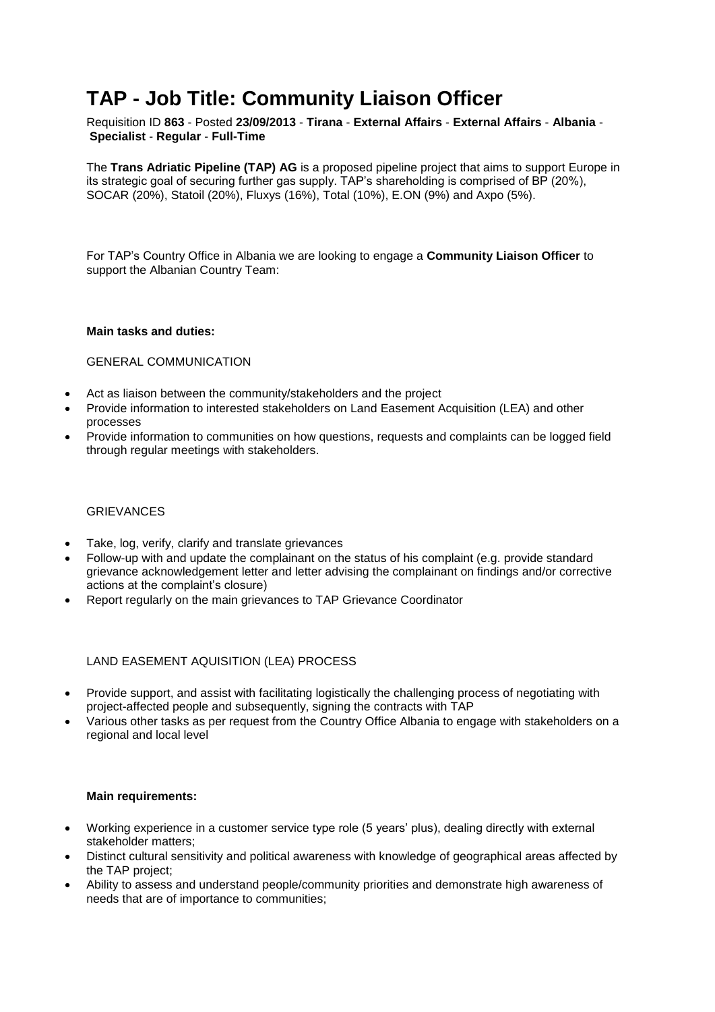# **TAP - Job Title: Community Liaison Officer**

Requisition ID **863** - Posted **23/09/2013** - **Tirana** - **External Affairs** - **External Affairs** - **Albania** - **Specialist** - **Regular** - **Full-Time**

The **Trans Adriatic Pipeline (TAP) AG** is a proposed pipeline project that aims to support Europe in its strategic goal of securing further gas supply. TAP's shareholding is comprised of BP (20%), SOCAR (20%), Statoil (20%), Fluxys (16%), Total (10%), E.ON (9%) and Axpo (5%).

For TAP's Country Office in Albania we are looking to engage a **Community Liaison Officer** to support the Albanian Country Team:

#### **Main tasks and duties:**

# GENERAL COMMUNICATION

- Act as liaison between the community/stakeholders and the project
- Provide information to interested stakeholders on Land Easement Acquisition (LEA) and other processes
- Provide information to communities on how questions, requests and complaints can be logged field through regular meetings with stakeholders.

### **GRIEVANCES**

- Take, log, verify, clarify and translate grievances
- Follow-up with and update the complainant on the status of his complaint (e.g. provide standard grievance acknowledgement letter and letter advising the complainant on findings and/or corrective actions at the complaint's closure)
- Report regularly on the main grievances to TAP Grievance Coordinator

# LAND EASEMENT AQUISITION (LEA) PROCESS

- Provide support, and assist with facilitating logistically the challenging process of negotiating with project-affected people and subsequently, signing the contracts with TAP
- Various other tasks as per request from the Country Office Albania to engage with stakeholders on a regional and local level

# **Main requirements:**

- Working experience in a customer service type role (5 years' plus), dealing directly with external stakeholder matters;
- Distinct cultural sensitivity and political awareness with knowledge of geographical areas affected by the TAP project;
- Ability to assess and understand people/community priorities and demonstrate high awareness of needs that are of importance to communities;